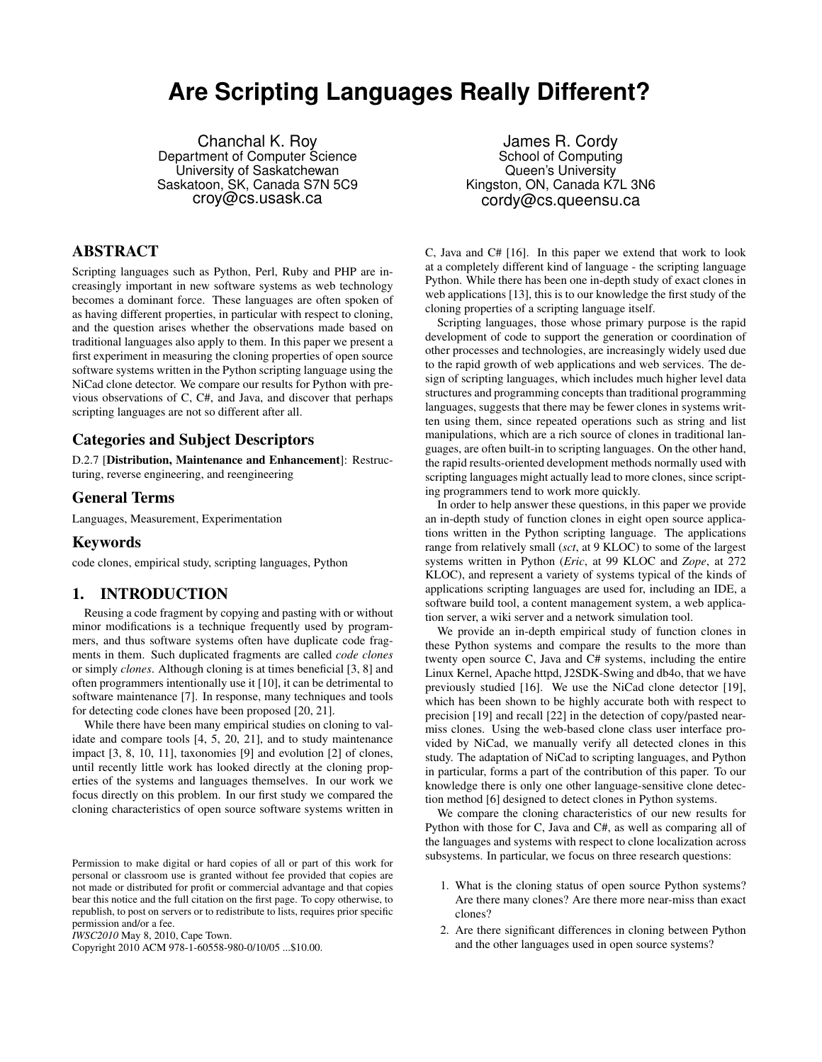# **Are Scripting Languages Really Different?**

Chanchal K. Roy Department of Computer Science University of Saskatchewan Saskatoon, SK, Canada S7N 5C9 croy@cs.usask.ca

# ABSTRACT

Scripting languages such as Python, Perl, Ruby and PHP are increasingly important in new software systems as web technology becomes a dominant force. These languages are often spoken of as having different properties, in particular with respect to cloning, and the question arises whether the observations made based on traditional languages also apply to them. In this paper we present a first experiment in measuring the cloning properties of open source software systems written in the Python scripting language using the NiCad clone detector. We compare our results for Python with previous observations of C, C#, and Java, and discover that perhaps scripting languages are not so different after all.

# Categories and Subject Descriptors

D.2.7 [Distribution, Maintenance and Enhancement]: Restructuring, reverse engineering, and reengineering

#### General Terms

Languages, Measurement, Experimentation

## Keywords

code clones, empirical study, scripting languages, Python

## 1. INTRODUCTION

Reusing a code fragment by copying and pasting with or without minor modifications is a technique frequently used by programmers, and thus software systems often have duplicate code fragments in them. Such duplicated fragments are called *code clones* or simply *clones*. Although cloning is at times beneficial [3, 8] and often programmers intentionally use it [10], it can be detrimental to software maintenance [7]. In response, many techniques and tools for detecting code clones have been proposed [20, 21].

While there have been many empirical studies on cloning to validate and compare tools [4, 5, 20, 21], and to study maintenance impact [3, 8, 10, 11], taxonomies [9] and evolution [2] of clones, until recently little work has looked directly at the cloning properties of the systems and languages themselves. In our work we focus directly on this problem. In our first study we compared the cloning characteristics of open source software systems written in

*IWSC2010* May 8, 2010, Cape Town.

Copyright 2010 ACM 978-1-60558-980-0/10/05 ...\$10.00.

James R. Cordy School of Computing Queen's University Kingston, ON, Canada K7L 3N6 cordy@cs.queensu.ca

C, Java and C# [16]. In this paper we extend that work to look at a completely different kind of language - the scripting language Python. While there has been one in-depth study of exact clones in web applications [13], this is to our knowledge the first study of the cloning properties of a scripting language itself.

Scripting languages, those whose primary purpose is the rapid development of code to support the generation or coordination of other processes and technologies, are increasingly widely used due to the rapid growth of web applications and web services. The design of scripting languages, which includes much higher level data structures and programming concepts than traditional programming languages, suggests that there may be fewer clones in systems written using them, since repeated operations such as string and list manipulations, which are a rich source of clones in traditional languages, are often built-in to scripting languages. On the other hand, the rapid results-oriented development methods normally used with scripting languages might actually lead to more clones, since scripting programmers tend to work more quickly.

In order to help answer these questions, in this paper we provide an in-depth study of function clones in eight open source applications written in the Python scripting language. The applications range from relatively small (*sct*, at 9 KLOC) to some of the largest systems written in Python (*Eric*, at 99 KLOC and *Zope*, at 272 KLOC), and represent a variety of systems typical of the kinds of applications scripting languages are used for, including an IDE, a software build tool, a content management system, a web application server, a wiki server and a network simulation tool.

We provide an in-depth empirical study of function clones in these Python systems and compare the results to the more than twenty open source C, Java and C# systems, including the entire Linux Kernel, Apache httpd, J2SDK-Swing and db4o, that we have previously studied [16]. We use the NiCad clone detector [19], which has been shown to be highly accurate both with respect to precision [19] and recall [22] in the detection of copy/pasted nearmiss clones. Using the web-based clone class user interface provided by NiCad, we manually verify all detected clones in this study. The adaptation of NiCad to scripting languages, and Python in particular, forms a part of the contribution of this paper. To our knowledge there is only one other language-sensitive clone detection method [6] designed to detect clones in Python systems.

We compare the cloning characteristics of our new results for Python with those for C, Java and C#, as well as comparing all of the languages and systems with respect to clone localization across subsystems. In particular, we focus on three research questions:

- 1. What is the cloning status of open source Python systems? Are there many clones? Are there more near-miss than exact clones?
- 2. Are there significant differences in cloning between Python and the other languages used in open source systems?

Permission to make digital or hard copies of all or part of this work for personal or classroom use is granted without fee provided that copies are not made or distributed for profit or commercial advantage and that copies bear this notice and the full citation on the first page. To copy otherwise, to republish, to post on servers or to redistribute to lists, requires prior specific permission and/or a fee.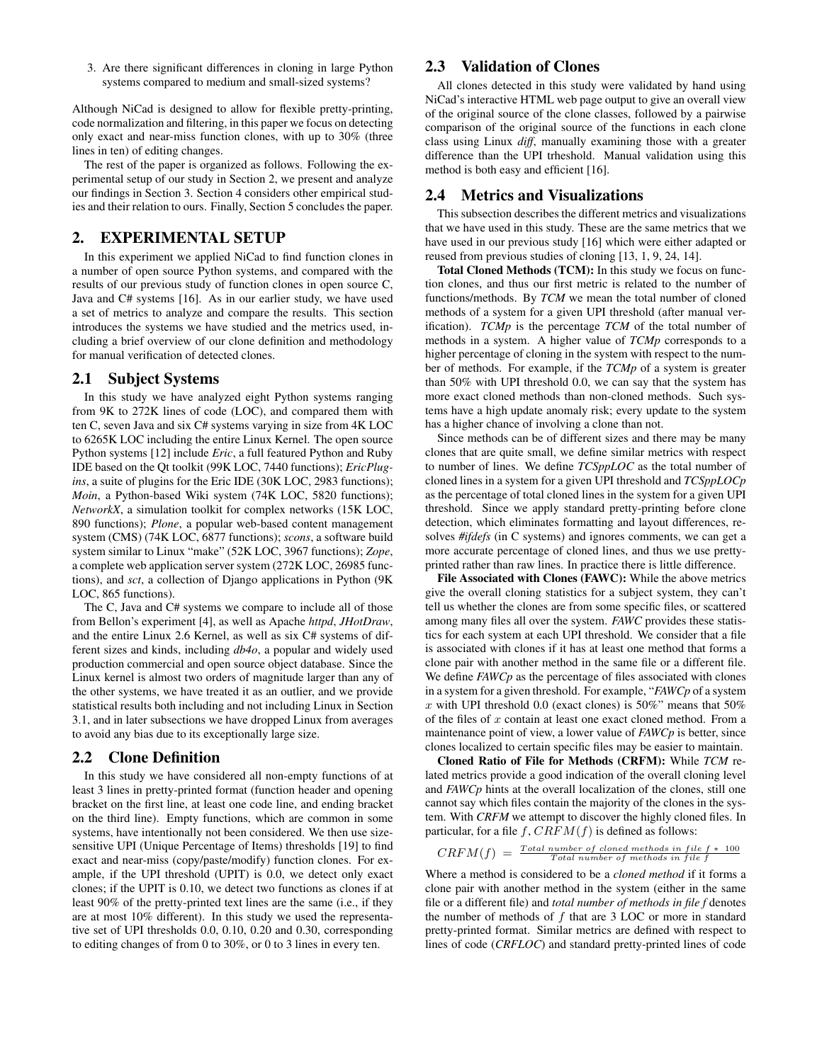3. Are there significant differences in cloning in large Python systems compared to medium and small-sized systems?

Although NiCad is designed to allow for flexible pretty-printing, code normalization and filtering, in this paper we focus on detecting only exact and near-miss function clones, with up to 30% (three lines in ten) of editing changes.

The rest of the paper is organized as follows. Following the experimental setup of our study in Section 2, we present and analyze our findings in Section 3. Section 4 considers other empirical studies and their relation to ours. Finally, Section 5 concludes the paper.

# 2. EXPERIMENTAL SETUP

In this experiment we applied NiCad to find function clones in a number of open source Python systems, and compared with the results of our previous study of function clones in open source C, Java and C# systems [16]. As in our earlier study, we have used a set of metrics to analyze and compare the results. This section introduces the systems we have studied and the metrics used, including a brief overview of our clone definition and methodology for manual verification of detected clones.

## 2.1 Subject Systems

In this study we have analyzed eight Python systems ranging from 9K to 272K lines of code (LOC), and compared them with ten C, seven Java and six C# systems varying in size from 4K LOC to 6265K LOC including the entire Linux Kernel. The open source Python systems [12] include *Eric*, a full featured Python and Ruby IDE based on the Qt toolkit (99K LOC, 7440 functions); *EricPlugins*, a suite of plugins for the Eric IDE (30K LOC, 2983 functions); *Moin*, a Python-based Wiki system (74K LOC, 5820 functions); *NetworkX*, a simulation toolkit for complex networks (15K LOC, 890 functions); *Plone*, a popular web-based content management system (CMS) (74K LOC, 6877 functions); *scons*, a software build system similar to Linux "make" (52K LOC, 3967 functions); *Zope*, a complete web application server system (272K LOC, 26985 functions), and *sct*, a collection of Django applications in Python (9K LOC, 865 functions).

The C, Java and C# systems we compare to include all of those from Bellon's experiment [4], as well as Apache *httpd*, *JHotDraw*, and the entire Linux 2.6 Kernel, as well as six C# systems of different sizes and kinds, including *db4o*, a popular and widely used production commercial and open source object database. Since the Linux kernel is almost two orders of magnitude larger than any of the other systems, we have treated it as an outlier, and we provide statistical results both including and not including Linux in Section 3.1, and in later subsections we have dropped Linux from averages to avoid any bias due to its exceptionally large size.

#### 2.2 Clone Definition

In this study we have considered all non-empty functions of at least 3 lines in pretty-printed format (function header and opening bracket on the first line, at least one code line, and ending bracket on the third line). Empty functions, which are common in some systems, have intentionally not been considered. We then use sizesensitive UPI (Unique Percentage of Items) thresholds [19] to find exact and near-miss (copy/paste/modify) function clones. For example, if the UPI threshold (UPIT) is 0.0, we detect only exact clones; if the UPIT is 0.10, we detect two functions as clones if at least 90% of the pretty-printed text lines are the same (i.e., if they are at most 10% different). In this study we used the representative set of UPI thresholds 0.0, 0.10, 0.20 and 0.30, corresponding to editing changes of from 0 to 30%, or 0 to 3 lines in every ten.

# 2.3 Validation of Clones

All clones detected in this study were validated by hand using NiCad's interactive HTML web page output to give an overall view of the original source of the clone classes, followed by a pairwise comparison of the original source of the functions in each clone class using Linux *diff*, manually examining those with a greater difference than the UPI trheshold. Manual validation using this method is both easy and efficient [16].

## 2.4 Metrics and Visualizations

This subsection describes the different metrics and visualizations that we have used in this study. These are the same metrics that we have used in our previous study [16] which were either adapted or reused from previous studies of cloning [13, 1, 9, 24, 14].

Total Cloned Methods (TCM): In this study we focus on function clones, and thus our first metric is related to the number of functions/methods. By *TCM* we mean the total number of cloned methods of a system for a given UPI threshold (after manual verification). *TCMp* is the percentage *TCM* of the total number of methods in a system. A higher value of *TCMp* corresponds to a higher percentage of cloning in the system with respect to the number of methods. For example, if the *TCMp* of a system is greater than 50% with UPI threshold 0.0, we can say that the system has more exact cloned methods than non-cloned methods. Such systems have a high update anomaly risk; every update to the system has a higher chance of involving a clone than not.

Since methods can be of different sizes and there may be many clones that are quite small, we define similar metrics with respect to number of lines. We define *TCSppLOC* as the total number of cloned lines in a system for a given UPI threshold and *TCSppLOCp* as the percentage of total cloned lines in the system for a given UPI threshold. Since we apply standard pretty-printing before clone detection, which eliminates formatting and layout differences, resolves *#ifdefs* (in C systems) and ignores comments, we can get a more accurate percentage of cloned lines, and thus we use prettyprinted rather than raw lines. In practice there is little difference.

File Associated with Clones (FAWC): While the above metrics give the overall cloning statistics for a subject system, they can't tell us whether the clones are from some specific files, or scattered among many files all over the system. *FAWC* provides these statistics for each system at each UPI threshold. We consider that a file is associated with clones if it has at least one method that forms a clone pair with another method in the same file or a different file. We define *FAWCp* as the percentage of files associated with clones in a system for a given threshold. For example, "*FAWCp* of a system x with UPI threshold 0.0 (exact clones) is 50%" means that 50% of the files of  $x$  contain at least one exact cloned method. From a maintenance point of view, a lower value of *FAWCp* is better, since clones localized to certain specific files may be easier to maintain.

Cloned Ratio of File for Methods (CRFM): While *TCM* related metrics provide a good indication of the overall cloning level and *FAWCp* hints at the overall localization of the clones, still one cannot say which files contain the majority of the clones in the system. With *CRFM* we attempt to discover the highly cloned files. In particular, for a file  $f, CRFM(f)$  is defined as follows:

$$
CRFM(f) = \frac{Total\ number\ of\ cloned\ methods\ in\ file\ f\ast\ 100}{Total\ number\ of\ methods\ in\ file\ f}
$$

Where a method is considered to be a *cloned method* if it forms a clone pair with another method in the system (either in the same file or a different file) and *total number of methods in file f* denotes the number of methods of  $f$  that are  $3$  LOC or more in standard pretty-printed format. Similar metrics are defined with respect to lines of code (*CRFLOC*) and standard pretty-printed lines of code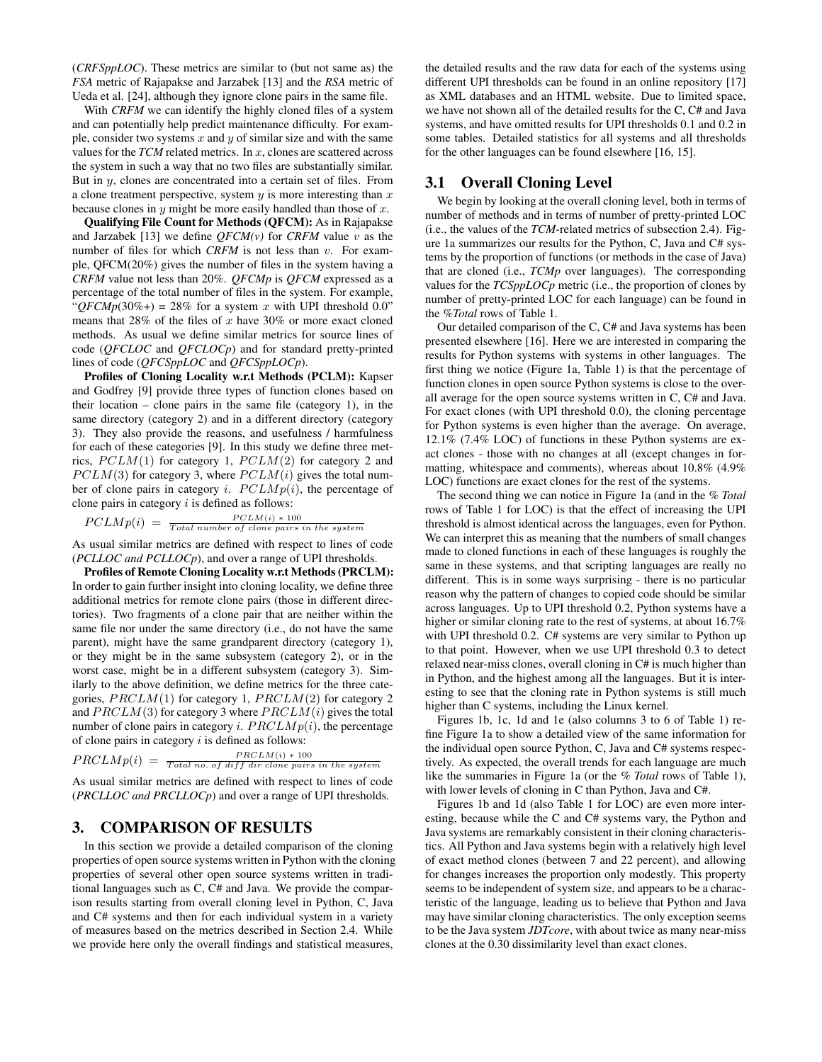(*CRFSppLOC*). These metrics are similar to (but not same as) the *FSA* metric of Rajapakse and Jarzabek [13] and the *RSA* metric of Ueda et al. [24], although they ignore clone pairs in the same file.

With *CRFM* we can identify the highly cloned files of a system and can potentially help predict maintenance difficulty. For example, consider two systems  $x$  and  $y$  of similar size and with the same values for the  $TCM$  related metrics. In  $x$ , clones are scattered across the system in such a way that no two files are substantially similar. But in  $y$ , clones are concentrated into a certain set of files. From a clone treatment perspective, system  $y$  is more interesting than  $x$ because clones in  $y$  might be more easily handled than those of  $x$ .

Qualifying File Count for Methods (QFCM): As in Rajapakse and Jarzabek [13] we define  $QFCM(v)$  for *CRFM* value v as the number of files for which *CRFM* is not less than v. For example, QFCM(20%) gives the number of files in the system having a *CRFM* value not less than 20%. *QFCMp* is *QFCM* expressed as a percentage of the total number of files in the system. For example, " $QFCMp(30\%+) = 28\%$  for a system x with UPI threshold 0.0" means that 28% of the files of x have 30% or more exact cloned methods. As usual we define similar metrics for source lines of code (*QFCLOC* and *QFCLOCp*) and for standard pretty-printed lines of code (*QFCSppLOC* and *QFCSppLOCp*).

Profiles of Cloning Locality w.r.t Methods (PCLM): Kapser and Godfrey [9] provide three types of function clones based on their location – clone pairs in the same file (category 1), in the same directory (category 2) and in a different directory (category 3). They also provide the reasons, and usefulness / harmfulness for each of these categories [9]. In this study we define three metrics,  $PCLM(1)$  for category 1,  $PCLM(2)$  for category 2 and  $PCLM(3)$  for category 3, where  $PCLM(i)$  gives the total number of clone pairs in category *i.*  $PCLMp(i)$ , the percentage of clone pairs in category  $i$  is defined as follows:

$$
PCLMp(i) = \frac{PCLM(i) * 100}{Total number of clone pairs in the system}
$$

As usual similar metrics are defined with respect to lines of code (*PCLLOC and PCLLOCp*), and over a range of UPI thresholds.

Profiles of Remote Cloning Locality w.r.t Methods (PRCLM): In order to gain further insight into cloning locality, we define three additional metrics for remote clone pairs (those in different directories). Two fragments of a clone pair that are neither within the same file nor under the same directory (i.e., do not have the same parent), might have the same grandparent directory (category 1), or they might be in the same subsystem (category 2), or in the worst case, might be in a different subsystem (category 3). Similarly to the above definition, we define metrics for the three categories,  $PRCLM(1)$  for category 1,  $PRCLM(2)$  for category 2 and  $PRCLM(3)$  for category 3 where  $PRCLM(i)$  gives the total number of clone pairs in category i.  $PRCLMp(i)$ , the percentage of clone pairs in category  $i$  is defined as follows:

$$
PRCLMp(i) = \frac{PRCLM(i) * 100}{Total no. of diff dir clone pairs in the system}
$$

As usual similar metrics are defined with respect to lines of code (*PRCLLOC and PRCLLOCp*) and over a range of UPI thresholds.

# 3. COMPARISON OF RESULTS

In this section we provide a detailed comparison of the cloning properties of open source systems written in Python with the cloning properties of several other open source systems written in traditional languages such as C, C# and Java. We provide the comparison results starting from overall cloning level in Python, C, Java and C# systems and then for each individual system in a variety of measures based on the metrics described in Section 2.4. While we provide here only the overall findings and statistical measures,

the detailed results and the raw data for each of the systems using different UPI thresholds can be found in an online repository [17] as XML databases and an HTML website. Due to limited space, we have not shown all of the detailed results for the C, C# and Java systems, and have omitted results for UPI thresholds 0.1 and 0.2 in some tables. Detailed statistics for all systems and all thresholds for the other languages can be found elsewhere [16, 15].

# 3.1 Overall Cloning Level

We begin by looking at the overall cloning level, both in terms of number of methods and in terms of number of pretty-printed LOC (i.e., the values of the *TCM*-related metrics of subsection 2.4). Figure 1a summarizes our results for the Python, C, Java and C# systems by the proportion of functions (or methods in the case of Java) that are cloned (i.e., *TCMp* over languages). The corresponding values for the *TCSppLOCp* metric (i.e., the proportion of clones by number of pretty-printed LOC for each language) can be found in the *%Total* rows of Table 1.

Our detailed comparison of the C, C# and Java systems has been presented elsewhere [16]. Here we are interested in comparing the results for Python systems with systems in other languages. The first thing we notice (Figure 1a, Table 1) is that the percentage of function clones in open source Python systems is close to the overall average for the open source systems written in C, C# and Java. For exact clones (with UPI threshold 0.0), the cloning percentage for Python systems is even higher than the average. On average, 12.1% (7.4% LOC) of functions in these Python systems are exact clones - those with no changes at all (except changes in formatting, whitespace and comments), whereas about 10.8% (4.9% LOC) functions are exact clones for the rest of the systems.

The second thing we can notice in Figure 1a (and in the *% Total* rows of Table 1 for LOC) is that the effect of increasing the UPI threshold is almost identical across the languages, even for Python. We can interpret this as meaning that the numbers of small changes made to cloned functions in each of these languages is roughly the same in these systems, and that scripting languages are really no different. This is in some ways surprising - there is no particular reason why the pattern of changes to copied code should be similar across languages. Up to UPI threshold 0.2, Python systems have a higher or similar cloning rate to the rest of systems, at about 16.7% with UPI threshold 0.2. C# systems are very similar to Python up to that point. However, when we use UPI threshold 0.3 to detect relaxed near-miss clones, overall cloning in C# is much higher than in Python, and the highest among all the languages. But it is interesting to see that the cloning rate in Python systems is still much higher than C systems, including the Linux kernel.

Figures 1b, 1c, 1d and 1e (also columns 3 to 6 of Table 1) refine Figure 1a to show a detailed view of the same information for the individual open source Python, C, Java and C# systems respectively. As expected, the overall trends for each language are much like the summaries in Figure 1a (or the *% Total* rows of Table 1), with lower levels of cloning in C than Python, Java and C#.

Figures 1b and 1d (also Table 1 for LOC) are even more interesting, because while the C and C# systems vary, the Python and Java systems are remarkably consistent in their cloning characteristics. All Python and Java systems begin with a relatively high level of exact method clones (between 7 and 22 percent), and allowing for changes increases the proportion only modestly. This property seems to be independent of system size, and appears to be a characteristic of the language, leading us to believe that Python and Java may have similar cloning characteristics. The only exception seems to be the Java system *JDTcore*, with about twice as many near-miss clones at the 0.30 dissimilarity level than exact clones.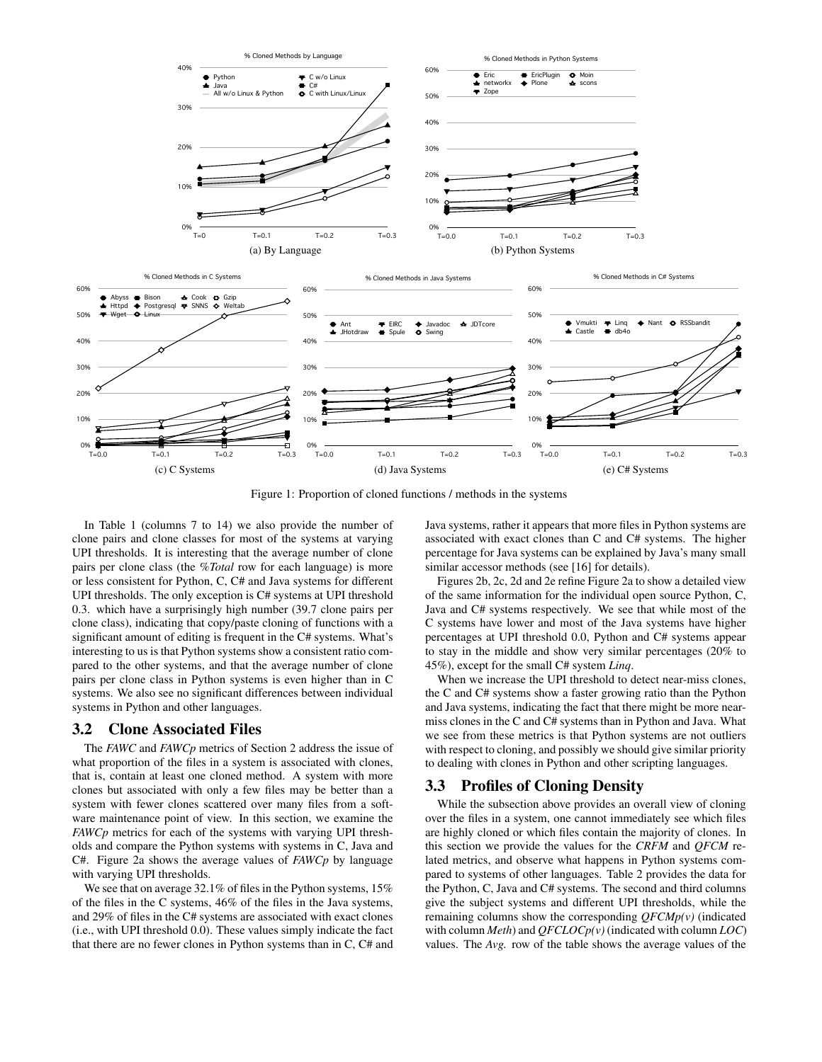

Figure 1: Proportion of cloned functions / methods in the systems

In Table 1 (columns 7 to 14) we also provide the number of clone pairs and clone classes for most of the systems at varying UPI thresholds. It is interesting that the average number of clone pairs per clone class (the *%Total* row for each language) is more or less consistent for Python, C, C# and Java systems for different UPI thresholds. The only exception is C# systems at UPI threshold 0.3. which have a surprisingly high number (39.7 clone pairs per clone class), indicating that copy/paste cloning of functions with a significant amount of editing is frequent in the C# systems. What's interesting to us is that Python systems show a consistent ratio compared to the other systems, and that the average number of clone pairs per clone class in Python systems is even higher than in C systems. We also see no significant differences between individual systems in Python and other languages.

## 3.2 Clone Associated Files

The *FAWC* and *FAWCp* metrics of Section 2 address the issue of what proportion of the files in a system is associated with clones, that is, contain at least one cloned method. A system with more clones but associated with only a few files may be better than a system with fewer clones scattered over many files from a software maintenance point of view. In this section, we examine the *FAWCp* metrics for each of the systems with varying UPI thresholds and compare the Python systems with systems in C, Java and C#. Figure 2a shows the average values of *FAWCp* by language with varying UPI thresholds.

We see that on average 32.1% of files in the Python systems, 15% of the files in the C systems, 46% of the files in the Java systems, and 29% of files in the C# systems are associated with exact clones (i.e., with UPI threshold 0.0). These values simply indicate the fact that there are no fewer clones in Python systems than in C, C# and Java systems, rather it appears that more files in Python systems are associated with exact clones than C and C# systems. The higher percentage for Java systems can be explained by Java's many small similar accessor methods (see [16] for details).

Figures 2b, 2c, 2d and 2e refine Figure 2a to show a detailed view of the same information for the individual open source Python, C, Java and C# systems respectively. We see that while most of the C systems have lower and most of the Java systems have higher percentages at UPI threshold 0.0, Python and C# systems appear to stay in the middle and show very similar percentages (20% to 45%), except for the small C# system *Linq*.

When we increase the UPI threshold to detect near-miss clones, the C and C# systems show a faster growing ratio than the Python and Java systems, indicating the fact that there might be more nearmiss clones in the C and C# systems than in Python and Java. What we see from these metrics is that Python systems are not outliers with respect to cloning, and possibly we should give similar priority to dealing with clones in Python and other scripting languages.

# 3.3 Profiles of Cloning Density

While the subsection above provides an overall view of cloning over the files in a system, one cannot immediately see which files are highly cloned or which files contain the majority of clones. In this section we provide the values for the *CRFM* and *QFCM* related metrics, and observe what happens in Python systems compared to systems of other languages. Table 2 provides the data for the Python, C, Java and C# systems. The second and third columns give the subject systems and different UPI thresholds, while the remaining columns show the corresponding *QFCMp(v)* (indicated with column *Meth*) and *QFCLOCp(v)* (indicated with column *LOC*) values. The *Avg.* row of the table shows the average values of the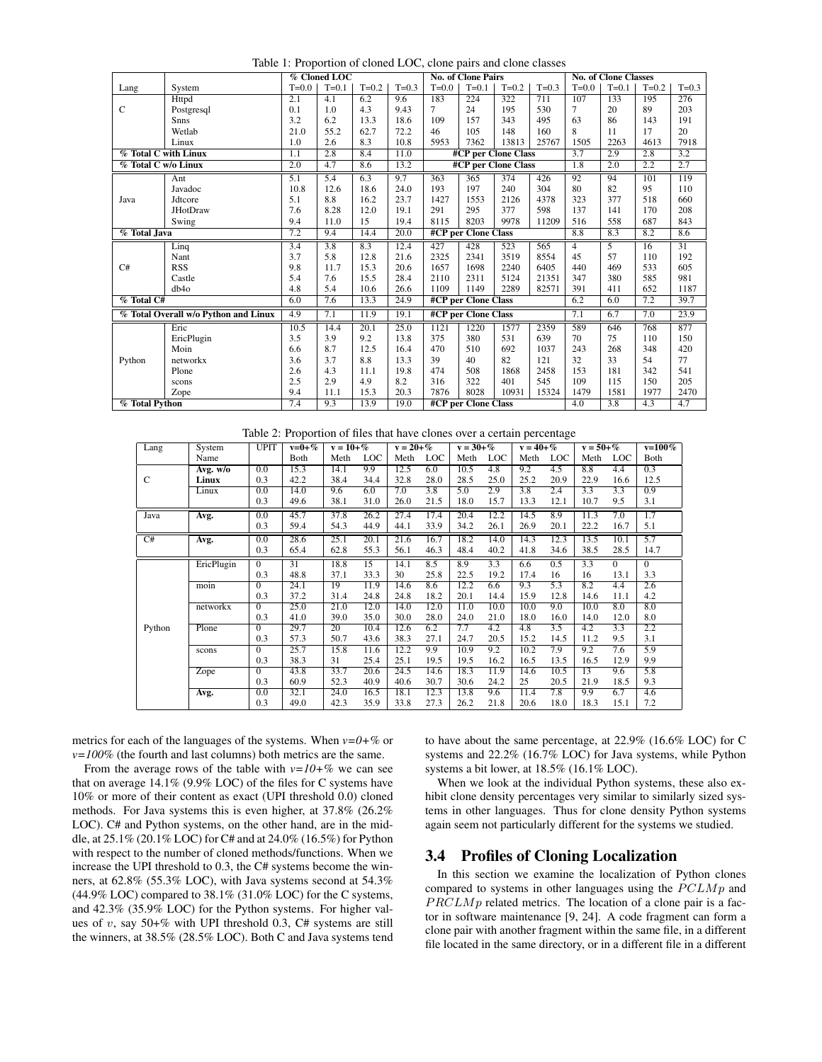Table 1: Proportion of cloned LOC, clone pairs and clone classes

|                      |                                      |            | % Cloned LOC |           |                   |                     | <b>No. of Clone Pairs</b> |           |           | <b>No. of Clone Classes</b> |                |           |           |
|----------------------|--------------------------------------|------------|--------------|-----------|-------------------|---------------------|---------------------------|-----------|-----------|-----------------------------|----------------|-----------|-----------|
| Lang                 | System                               | $T=0.0$    | $T = 0.1$    | $T = 0.2$ | $T = 0.3$         | $T=0.0$             | $T = 0.1$                 | $T = 0.2$ | $T = 0.3$ | $T=0.0$                     | $T = 0.1$      | $T = 0.2$ | $T = 0.3$ |
|                      | Httpd                                | 2.1        | 4.1          | 6.2       | 9.6               | 183                 | 224                       | 322       | 711       | 107                         | 133            | 195       | 276       |
| $\mathcal{C}$        | Postgresql                           | 0.1        | 1.0          | 4.3       | 9.43              | $\overline{7}$      | 24                        | 195       | 530       | $\overline{7}$              | 20             | 89        | 203       |
|                      | <b>Snns</b>                          | 3.2        | 6.2          | 13.3      | 18.6              | 109                 | 157                       | 343       | 495       | 63                          | 86             | 143       | 191       |
|                      | Wetlab                               | 21.0       | 55.2         | 62.7      | 72.2              | 46                  | 105                       | 148       | 160       | 8                           | 11             | 17        | 20        |
|                      | Linux                                | 1.0        | 2.6          | 8.3       | 10.8              | 5953                | 7362                      | 13813     | 25767     | 1505                        | 2263           | 4613      | 7918      |
| % Total C with Linux |                                      | 1.1        | 2.8          | 8.4       | 11.0              | #CP per Clone Class |                           |           |           | 3.7                         | 2.9            | 2.8       | 3.2       |
| % Total C w/o Linux  |                                      | 2.0        | 4.7          | 8.6       | 13.2              | #CP per Clone Class |                           |           |           | 1.8                         | 2.0            | 2.2       | 2.7       |
|                      | Ant                                  | 5.1        | 5.4          | 6.3       | 9.7               | 363                 | 365                       | 374       | 426       | 92                          | 94             | 101       | 119       |
|                      | Javadoc                              | 10.8       | 12.6         | 18.6      | 24.0              | 193                 | 197                       | 240       | 304       | 80                          | 82             | 95        | 110       |
| Java                 | Jdtcore                              | 5.1        | 8.8          | 16.2      | 23.7              | 1427                | 1553                      | 2126      | 4378      | 323                         | 377            | 518       | 660       |
|                      | <b>JHotDraw</b>                      | 7.6        | 8.28         | 12.0      | 19.1              | 291                 | 295                       | 377       | 598       | 137                         | 141            | 170       | 208       |
|                      | Swing                                | 9.4        | 11.0         | 15        | 19.4              | 8115                | 8203                      | 9978      | 11209     | 516                         | 558            | 687       | 843       |
| % Total Java         |                                      | 7.2        | 9.4          | 14.4      | 20.0              | #CP per Clone Class |                           |           |           | 8.8                         | 8.3            | 8.2       | 8.6       |
|                      | Linq                                 | 3.4        | 3.8          | 8.3       | 12.4              | 427                 | 428                       | 523       | 565       | $\overline{4}$              | $\overline{5}$ | 16        | 31        |
|                      | Nant                                 | 3.7        | 5.8          | 12.8      | 21.6              | 2325                | 2341                      | 3519      | 8554      | 45                          | 57             | 110       | 192       |
| C#                   | <b>RSS</b>                           | 9.8        | 11.7         | 15.3      | 20.6              | 1657                | 1698                      | 2240      | 6405      | 440                         | 469            | 533       | 605       |
|                      | Castle                               | 5.4        | 7.6          | 15.5      | 28.4              | 2110                | 2311                      | 5124      | 21351     | 347                         | 380            | 585       | 981       |
|                      | db <sub>40</sub>                     | 4.8        | 5.4          | 10.6      | 26.6              | 1109                | 1149                      | 2289      | 82571     | 391                         | 411            | 652       | 1187      |
| % Total C#           |                                      | 6.0        | 7.6          | 13.3      | 24.9              | #CP per Clone Class |                           |           |           | 6.2                         | 6.0            | 7.2       | 39.7      |
|                      | % Total Overall w/o Python and Linux | 4.9        | 7.1          | 11.9      | 19.1              |                     | #CP per Clone Class       |           |           | 7.1                         | 6.7            | 7.0       | 23.9      |
|                      | Eric                                 | 10.5       | 14.4         | 20.1      | $\overline{25.0}$ | 1121                | 1220                      | 1577      | 2359      | 589                         | 646            | 768       | 877       |
|                      | EricPlugin                           | 3.5        | 3.9          | 9.2       | 13.8              | 375                 | 380                       | 531       | 639       | 70                          | 75             | 110       | 150       |
|                      | Moin                                 | 6.6        | 8.7          | 12.5      | 16.4              | 470                 | 510                       | 692       | 1037      | 243                         | 268            | 348       | 420       |
| Python               | networkx                             | 3.6        | 3.7          | 8.8       | 13.3              | 39                  | 40                        | 82        | 121       | 32                          | 33             | 54        | 77        |
|                      | Plone                                | 2.6        | 4.3          | 11.1      | 19.8              | 474                 | 508                       | 1868      | 2458      | 153                         | 181            | 342       | 541       |
|                      | scons                                | 2.5        | 2.9          | 4.9       | 8.2               | 316                 | 322                       | 401       | 545       | 109                         | 115            | 150       | 205       |
|                      | Zope                                 | 9.4<br>7.4 | 11.1         | 15.3      | 20.3              | 7876                | 8028                      | 10931     | 15324     | 1479                        | 1581           | 1977      | 2470      |
|                      | % Total Python                       |            | 9.3          | 13.9      | 19.0              | #CP per Clone Class |                           |           |           | 4.0                         | 3.8            | 4.3       | 4.7       |

Table 2: Proportion of files that have clones over a certain percentage

| Lang            | System     | <b>UPIT</b>    | $v = 0 + \%$ | $v = 10 + \%$ |            | $v = 20 + %$ |      | $v = 30 + \%$ |            | $v = 40 + \%$ |            | $v = 50 + %$ |                | $v=100\%$ |
|-----------------|------------|----------------|--------------|---------------|------------|--------------|------|---------------|------------|---------------|------------|--------------|----------------|-----------|
|                 | Name       |                | Both         | Meth          | <b>LOC</b> | Meth         | LOC. | Meth          | <b>LOC</b> | Meth          | <b>LOC</b> | Meth         | <b>LOC</b>     | Both      |
|                 | $Avg.$ w/o | 0.0            | 15.3         | 14.1          | 9.9        | 12.5         | 6.0  | 10.5          | 4.8        | 9.2           | 4.5        | 8.8          | 4.4            | 0.3       |
| $\mathbf C$     | Linux      | 0.3            | 42.2         | 38.4          | 34.4       | 32.8         | 28.0 | 28.5          | 25.0       | 25.2          | 20.9       | 22.9         | 16.6           | 12.5      |
|                 | Linux      | 0.0            | 14.0         | 9.6           | 6.0        | 7.0          | 3.8  | 5.0           | 2.9        | 3.8           | 2.4        | 3.3          | 3.3            | 0.9       |
|                 |            | 0.3            | 49.6         | 38.1          | 31.0       | 26.0         | 21.5 | 18.0          | 15.7       | 13.3          | 12.1       | 10.7         | 9.5            | 3.1       |
| Java            | Avg.       | 0.0            | 45.7         | 37.8          | 26.2       | 27.4         | 17.4 | 20.4          | 12.2       | 14.5          | 8.9        | 11.3         | 7.0            | 1.7       |
|                 |            | 0.3            | 59.4         | 54.3          | 44.9       | 44.1         | 33.9 | 34.2          | 26.1       | 26.9          | 20.1       | 22.2         | 16.7           | 5.1       |
| $\overline{C#}$ | Avg.       | 0.0            | 28.6         | 25.1          | 20.1       | 21.6         | 16.7 | 18.2          | 14.0       | 14.3          | 12.3       | 13.5         | 10.1           | 5.7       |
|                 |            | 0.3            | 65.4         | 62.8          | 55.3       | 56.1         | 46.3 | 48.4          | 40.2       | 41.8          | 34.6       | 38.5         | 28.5           | 14.7      |
|                 | EricPlugin | $\overline{0}$ | 31           | 18.8          | 15         | 14.1         | 8.5  | 8.9           | 3.3        | 6.6           | 0.5        | 3.3          | $\overline{0}$ | $\Omega$  |
|                 |            | 0.3            | 48.8         | 37.1          | 33.3       | 30           | 25.8 | 22.5          | 19.2       | 17.4          | 16         | 16           | 13.1           | 3.3       |
|                 | moin       | $\Omega$       | 24.1         | 19            | 11.9       | 14.6         | 8.6  | 12.2          | 6.6        | 9.3           | 5.3        | 8.2          | 4.4            | 2.6       |
|                 |            | 0.3            | 37.2         | 31.4          | 24.8       | 24.8         | 18.2 | 20.1          | 14.4       | 15.9          | 12.8       | 14.6         | 11.1           | 4.2       |
|                 | networkx   | $\overline{0}$ | 25.0         | 21.0          | 12.0       | 14.0         | 12.0 | 11.0          | 10.0       | 10.0          | 9.0        | 10.0         | 8.0            | 8.0       |
|                 |            | 0.3            | 41.0         | 39.0          | 35.0       | 30.0         | 28.0 | 24.0          | 21.0       | 18.0          | 16.0       | 14.0         | 12.0           | 8.0       |
| Python          | Plone      | $\Omega$       | 29.7         | 20            | 10.4       | 12.6         | 6.2  | 7.7           | 4.2        | 4.8           | 3.5        | 4.2          | 3.3            | 2.2       |
|                 |            | 0.3            | 57.3         | 50.7          | 43.6       | 38.3         | 27.1 | 24.7          | 20.5       | 15.2          | 14.5       | 11.2         | 9.5            | 3.1       |
|                 | scons      | $\Omega$       | 25.7         | 15.8          | 11.6       | 12.2         | 9.9  | 10.9          | 9.2        | 10.2          | 7.9        | 9.2          | 7.6            | 5.9       |
|                 |            | 0.3            | 38.3         | 31            | 25.4       | 25.1         | 19.5 | 19.5          | 16.2       | 16.5          | 13.5       | 16.5         | 12.9           | 9.9       |
|                 | Zope       | $\Omega$       | 43.8         | 33.7          | 20.6       | 24.5         | 14.6 | 18.3          | 11.9       | 14.6          | 10.5       | 13           | 9.6            | 5.8       |
|                 |            | 0.3            | 60.9         | 52.3          | 40.9       | 40.6         | 30.7 | 30.6          | 24.2       | 25            | 20.5       | 21.9         | 18.5           | 9.3       |
|                 | Avg.       | 0.0            | 32.1         | 24.0          | 16.5       | 18.1         | 12.3 | 13.8          | 9.6        | 11.4          | 7.8        | 9.9          | 6.7            | 4.6       |
|                 |            | 0.3            | 49.0         | 42.3          | 35.9       | 33.8         | 27.3 | 26.2          | 21.8       | 20.6          | 18.0       | 18.3         | 15.1           | 7.2       |

metrics for each of the languages of the systems. When *v=0+%* or  $v=100\%$  (the fourth and last columns) both metrics are the same.

From the average rows of the table with  $v=10+%$  we can see that on average 14.1% (9.9% LOC) of the files for C systems have 10% or more of their content as exact (UPI threshold 0.0) cloned methods. For Java systems this is even higher, at 37.8% (26.2% LOC). C# and Python systems, on the other hand, are in the middle, at 25.1% (20.1% LOC) for C# and at 24.0% (16.5%) for Python with respect to the number of cloned methods/functions. When we increase the UPI threshold to 0.3, the C# systems become the winners, at 62.8% (55.3% LOC), with Java systems second at 54.3%  $(44.9\%$  LOC) compared to  $38.1\%$   $(31.0\%$  LOC) for the C systems, and 42.3% (35.9% LOC) for the Python systems. For higher values of  $v$ , say 50+% with UPI threshold 0.3, C# systems are still the winners, at 38.5% (28.5% LOC). Both C and Java systems tend to have about the same percentage, at 22.9% (16.6% LOC) for C systems and 22.2% (16.7% LOC) for Java systems, while Python systems a bit lower, at 18.5% (16.1% LOC).

When we look at the individual Python systems, these also exhibit clone density percentages very similar to similarly sized systems in other languages. Thus for clone density Python systems again seem not particularly different for the systems we studied.

# 3.4 Profiles of Cloning Localization

In this section we examine the localization of Python clones compared to systems in other languages using the  $PCLMp$  and  $PRCLMp$  related metrics. The location of a clone pair is a factor in software maintenance [9, 24]. A code fragment can form a clone pair with another fragment within the same file, in a different file located in the same directory, or in a different file in a different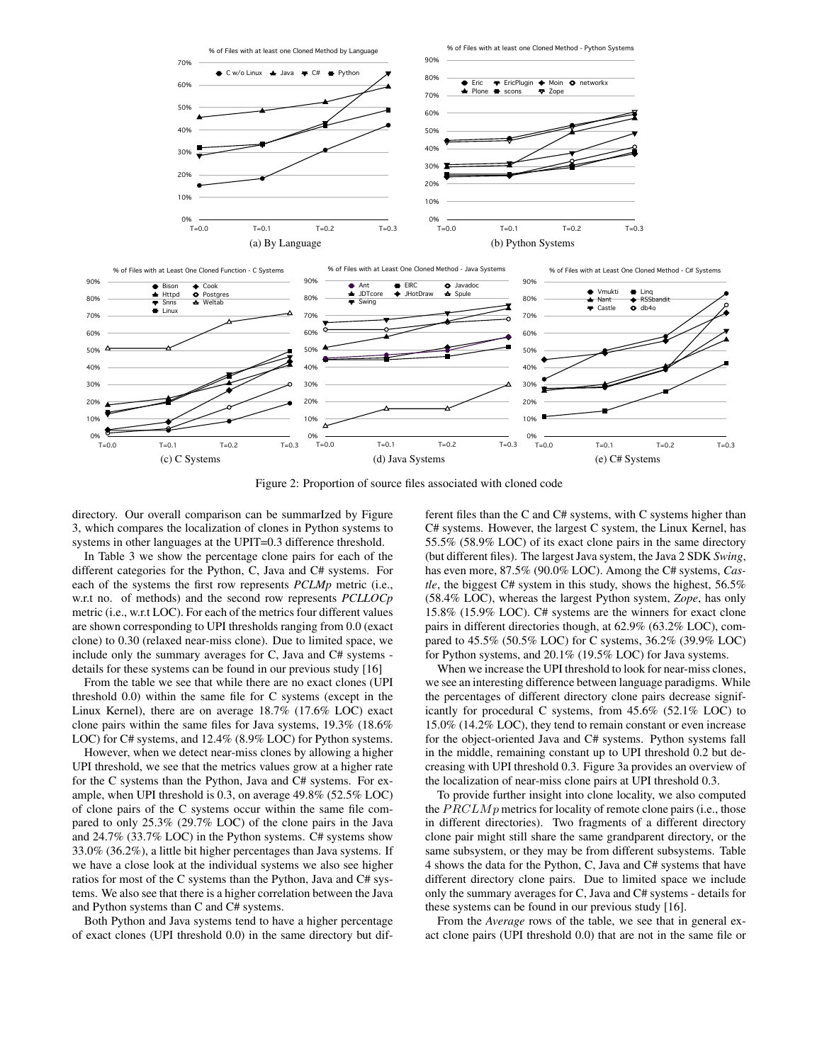

Figure 2: Proportion of source files associated with cloned code

directory. Our overall comparison can be summarIzed by Figure 3, which compares the localization of clones in Python systems to systems in other languages at the UPIT=0.3 difference threshold.

In Table 3 we show the percentage clone pairs for each of the different categories for the Python, C, Java and C# systems. For each of the systems the first row represents *PCLMp* metric (i.e., w.r.t no. of methods) and the second row represents *PCLLOCp* metric (i.e., w.r.t LOC). For each of the metrics four different values are shown corresponding to UPI thresholds ranging from 0.0 (exact clone) to 0.30 (relaxed near-miss clone). Due to limited space, we include only the summary averages for C, Java and C# systems details for these systems can be found in our previous study [16]

From the table we see that while there are no exact clones (UPI threshold 0.0) within the same file for C systems (except in the Linux Kernel), there are on average 18.7% (17.6% LOC) exact clone pairs within the same files for Java systems, 19.3% (18.6% LOC) for C# systems, and 12.4% (8.9% LOC) for Python systems.

However, when we detect near-miss clones by allowing a higher UPI threshold, we see that the metrics values grow at a higher rate for the C systems than the Python, Java and C# systems. For example, when UPI threshold is 0.3, on average 49.8% (52.5% LOC) of clone pairs of the C systems occur within the same file compared to only 25.3% (29.7% LOC) of the clone pairs in the Java and 24.7% (33.7% LOC) in the Python systems. C# systems show 33.0% (36.2%), a little bit higher percentages than Java systems. If we have a close look at the individual systems we also see higher ratios for most of the C systems than the Python, Java and C# systems. We also see that there is a higher correlation between the Java and Python systems than C and C# systems.

Both Python and Java systems tend to have a higher percentage of exact clones (UPI threshold 0.0) in the same directory but different files than the C and C# systems, with C systems higher than C# systems. However, the largest C system, the Linux Kernel, has 55.5% (58.9% LOC) of its exact clone pairs in the same directory (but different files). The largest Java system, the Java 2 SDK *Swing*, has even more, 87.5% (90.0% LOC). Among the C# systems, *Castle*, the biggest C# system in this study, shows the highest, 56.5% (58.4% LOC), whereas the largest Python system, *Zope*, has only 15.8% (15.9% LOC). C# systems are the winners for exact clone pairs in different directories though, at 62.9% (63.2% LOC), compared to 45.5% (50.5% LOC) for C systems, 36.2% (39.9% LOC) for Python systems, and 20.1% (19.5% LOC) for Java systems.

When we increase the UPI threshold to look for near-miss clones, we see an interesting difference between language paradigms. While the percentages of different directory clone pairs decrease significantly for procedural C systems, from 45.6% (52.1% LOC) to 15.0% (14.2% LOC), they tend to remain constant or even increase for the object-oriented Java and C# systems. Python systems fall in the middle, remaining constant up to UPI threshold 0.2 but decreasing with UPI threshold 0.3. Figure 3a provides an overview of the localization of near-miss clone pairs at UPI threshold 0.3.

To provide further insight into clone locality, we also computed the  $PRCLMp$  metrics for locality of remote clone pairs (i.e., those in different directories). Two fragments of a different directory clone pair might still share the same grandparent directory, or the same subsystem, or they may be from different subsystems. Table 4 shows the data for the Python, C, Java and C# systems that have different directory clone pairs. Due to limited space we include only the summary averages for C, Java and C# systems - details for these systems can be found in our previous study [16].

From the *Average* rows of the table, we see that in general exact clone pairs (UPI threshold 0.0) that are not in the same file or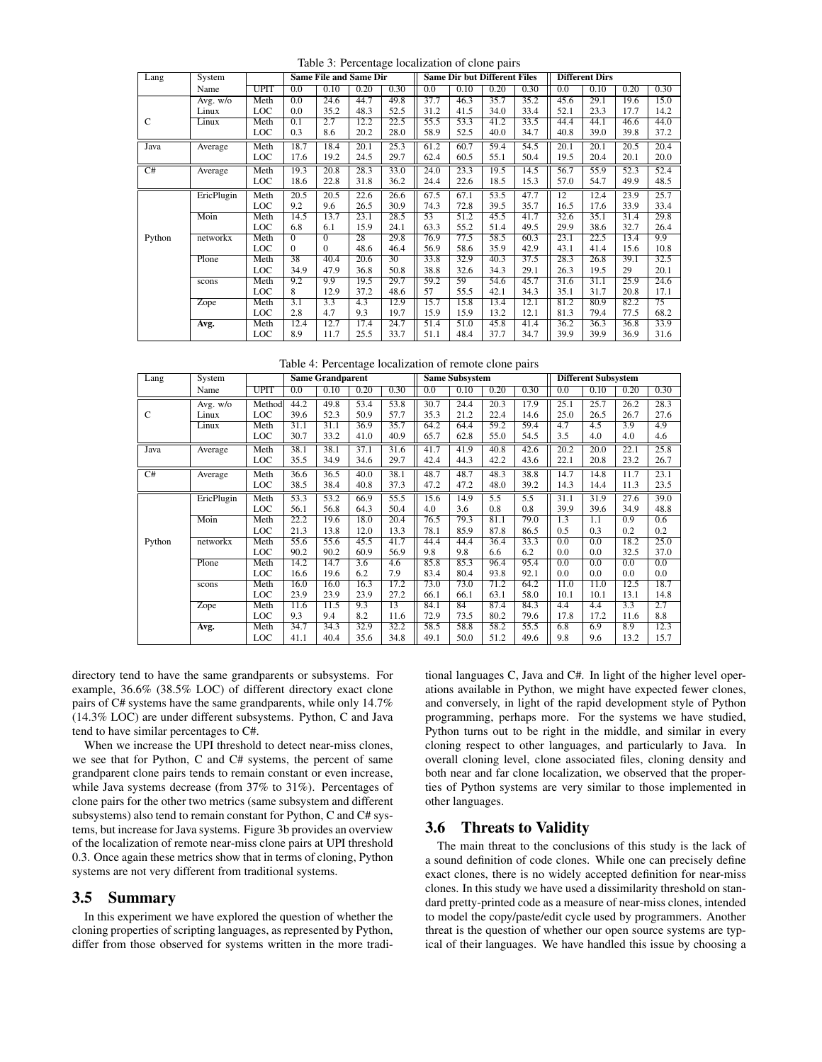Table 3: Percentage localization of clone pairs

| Lang   | System     | <b>Same File and Same Dir</b> |                  |                |      |                 |      |      | <b>Same Dir but Different Files</b> |      | <b>Different Dirs</b> |      |      |                 |  |
|--------|------------|-------------------------------|------------------|----------------|------|-----------------|------|------|-------------------------------------|------|-----------------------|------|------|-----------------|--|
|        | Name       | <b>UPIT</b>                   | 0.0              | 0.10           | 0.20 | 0.30            | 0.0  | 0.10 | 0.20                                | 0.30 | 0.0                   | 0.10 | 0.20 | 0.30            |  |
|        | Avg. w/o   | Meth                          | 0.0              | 24.6           | 44.7 | 49.8            | 37.7 | 46.3 | 35.7                                | 35.2 | 45.6                  | 29.1 | 19.6 | 15.0            |  |
|        | Linux      | <b>LOC</b>                    | 0.0              | 35.2           | 48.3 | 52.5            | 31.2 | 41.5 | 34.0                                | 33.4 | 52.1                  | 23.3 | 17.7 | 14.2            |  |
| C      | Linux      | Meth                          | 0.1              | 2.7            | 12.2 | 22.5            | 55.5 | 53.3 | 41.2                                | 33.5 | 44.4                  | 44.1 | 46.6 | 44.0            |  |
|        |            | <b>LOC</b>                    | 0.3              | 8.6            | 20.2 | 28.0            | 58.9 | 52.5 | 40.0                                | 34.7 | 40.8                  | 39.0 | 39.8 | 37.2            |  |
| Java   | Average    | Meth                          | 18.7             | 18.4           | 20.1 | 25.3            | 61.2 | 60.7 | 59.4                                | 54.5 | 20.1                  | 20.1 | 20.5 | 20.4            |  |
|        |            | <b>LOC</b>                    | 17.6             | 19.2           | 24.5 | 29.7            | 62.4 | 60.5 | 55.1                                | 50.4 | 19.5                  | 20.4 | 20.1 | 20.0            |  |
| C#     | Average    | Meth                          | 19.3             | 20.8           | 28.3 | 33.0            | 24.0 | 23.3 | 19.5                                | 14.5 | 56.7                  | 55.9 | 52.3 | 52.4            |  |
|        |            | <b>LOC</b>                    | 18.6             | 22.8           | 31.8 | 36.2            | 24.4 | 22.6 | 18.5                                | 15.3 | 57.0                  | 54.7 | 49.9 | 48.5            |  |
|        | EricPlugin | Meth                          | 20.5             | 20.5           | 22.6 | 26.6            | 67.5 | 67.1 | $\overline{53.5}$                   | 47.7 | 12                    | 12.4 | 23.9 | 25.7            |  |
|        |            | <b>LOC</b>                    | 9.2              | 9.6            | 26.5 | 30.9            | 74.3 | 72.8 | 39.5                                | 35.7 | 16.5                  | 17.6 | 33.9 | 33.4            |  |
|        | Moin       | Meth                          | 14.5             | 13.7           | 23.1 | 28.5            | 53   | 51.2 | 45.5                                | 41.7 | 32.6                  | 35.1 | 31.4 | 29.8            |  |
|        |            | <b>LOC</b>                    | 6.8              | 6.1            | 15.9 | 24.1            | 63.3 | 55.2 | 51.4                                | 49.5 | 29.9                  | 38.6 | 32.7 | 26.4            |  |
| Python | networkx   | Meth                          | $\overline{0}$   | $\overline{0}$ | 28   | 29.8            | 76.9 | 77.5 | 58.5                                | 60.3 | 23.1                  | 22.5 | 13.4 | 9.9             |  |
|        |            | <b>LOC</b>                    | $\Omega$         | $\Omega$       | 48.6 | 46.4            | 56.9 | 58.6 | 35.9                                | 42.9 | 43.1                  | 41.4 | 15.6 | 10.8            |  |
|        | Plone      | Meth                          | 38               | 40.4           | 20.6 | $\overline{30}$ | 33.8 | 32.9 | 40.3                                | 37.5 | 28.3                  | 26.8 | 39.1 | 32.5            |  |
|        |            | <b>LOC</b>                    | 34.9             | 47.9           | 36.8 | 50.8            | 38.8 | 32.6 | 34.3                                | 29.1 | 26.3                  | 19.5 | 29   | 20.1            |  |
|        | scons      | Meth                          | 9.2              | 9.9            | 19.5 | 29.7            | 59.2 | 59   | 54.6                                | 45.7 | 31.6                  | 31.1 | 25.9 | 24.6            |  |
|        |            | <b>LOC</b>                    | 8                | 12.9           | 37.2 | 48.6            | 57   | 55.5 | 42.1                                | 34.3 | 35.1                  | 31.7 | 20.8 | 17.1            |  |
|        | Zope       | Meth                          | $\overline{3.1}$ | 3.3            | 4.3  | 12.9            | 15.7 | 15.8 | 13.4                                | 12.1 | 81.2                  | 80.9 | 82.2 | $\overline{75}$ |  |
|        |            | <b>LOC</b>                    | 2.8              | 4.7            | 9.3  | 19.7            | 15.9 | 15.9 | 13.2                                | 12.1 | 81.3                  | 79.4 | 77.5 | 68.2            |  |
|        | Avg.       | Meth                          | 12.4             | 12.7           | 17.4 | 24.7            | 51.4 | 51.0 | 45.8                                | 41.4 | 36.2                  | 36.3 | 36.8 | 33.9            |  |
|        |            | <b>LOC</b>                    | 8.9              | 11.7           | 25.5 | 33.7            | 51.1 | 48.4 | 37.7                                | 34.7 | 39.9                  | 39.9 | 36.9 | 31.6            |  |

Table 4: Percentage localization of remote clone pairs

| $\overline{\text{Lang}}$ | System     |             | <b>Same Grandparent</b> |      |                   |                   |      | <b>Same Subsystem</b> |                   |      | <b>Different Subsystem</b> |      |                   |      |
|--------------------------|------------|-------------|-------------------------|------|-------------------|-------------------|------|-----------------------|-------------------|------|----------------------------|------|-------------------|------|
|                          | Name       | <b>UPIT</b> | 0.0                     | 0.10 | 0.20              | 0.30              | 0.0  | 0.10                  | 0.20              | 0.30 | 0.0                        | 0.10 | 0.20              | 0.30 |
|                          | Avg. $w/o$ | Method      | 44.2                    | 49.8 | $\overline{53.4}$ | $\overline{53.8}$ | 30.7 | 24.4                  | $\overline{20.3}$ | 17.9 | 25.1                       | 25.7 | $\overline{26.2}$ | 28.3 |
| $\mathbf C$              | Linux      | <b>LOC</b>  | 39.6                    | 52.3 | 50.9              | 57.7              | 35.3 | 21.2                  | 22.4              | 14.6 | 25.0                       | 26.5 | 26.7              | 27.6 |
|                          | Linux      | Meth        | 31.1                    | 31.1 | 36.9              | 35.7              | 64.2 | 64.4                  | 59.2              | 59.4 | 4.7                        | 4.5  | 3.9               | 4.9  |
|                          |            | <b>LOC</b>  | 30.7                    | 33.2 | 41.0              | 40.9              | 65.7 | 62.8                  | 55.0              | 54.5 | 3.5                        | 4.0  | 4.0               | 4.6  |
| Java                     | Average    | Meth        | 38.1                    | 38.1 | 37.1              | 31.6              | 41.7 | 41.9                  | 40.8              | 42.6 | 20.2                       | 20.0 | 22.1              | 25.8 |
|                          |            | LOC         | 35.5                    | 34.9 | 34.6              | 29.7              | 42.4 | 44.3                  | 42.2              | 43.6 | 22.1                       | 20.8 | 23.2              | 26.7 |
| C#                       | Average    | Meth        | $\overline{36.6}$       | 36.5 | 40.0              | 38.1              | 48.7 | 48.7                  | 48.3              | 38.8 | 14.7                       | 14.8 | 11.7              | 23.1 |
|                          |            | <b>LOC</b>  | 38.5                    | 38.4 | 40.8              | 37.3              | 47.2 | 47.2                  | 48.0              | 39.2 | 14.3                       | 14.4 | 11.3              | 23.5 |
|                          | EricPlugin | Meth        | 53.3                    | 53.2 | 66.9              | 55.5              | 15.6 | 14.9                  | 5.5               | 5.5  | 31.1                       | 31.9 | 27.6              | 39.0 |
|                          |            | <b>LOC</b>  | 56.1                    | 56.8 | 64.3              | 50.4              | 4.0  | 3.6                   | 0.8               | 0.8  | 39.9                       | 39.6 | 34.9              | 48.8 |
|                          | Moin       | Meth        | 22.2                    | 19.6 | 18.0              | 20.4              | 76.5 | 79.3                  | 81.1              | 79.0 | 1.3                        | 1.1  | 0.9               | 0.6  |
|                          |            | <b>LOC</b>  | 21.3                    | 13.8 | 12.0              | 13.3              | 78.1 | 85.9                  | 87.8              | 86.5 | 0.5                        | 0.3  | 0.2               | 0.2  |
| Python                   | networkx   | Meth        | 55.6                    | 55.6 | 45.5              | 41.7              | 44.4 | 44.4                  | 36.4              | 33.3 | 0.0                        | 0.0  | 18.2              | 25.0 |
|                          |            | <b>LOC</b>  | 90.2                    | 90.2 | 60.9              | 56.9              | 9.8  | 9.8                   | 6.6               | 6.2  | 0.0                        | 0.0  | 32.5              | 37.0 |
|                          | Plone      | Meth        | 14.2                    | 14.7 | 3.6               | 4.6               | 85.8 | 85.3                  | 96.4              | 95.4 | 0.0                        | 0.0  | 0.0               | 0.0  |
|                          |            | <b>LOC</b>  | 16.6                    | 19.6 | 6.2               | 7.9               | 83.4 | 80.4                  | 93.8              | 92.1 | 0.0                        | 0.0  | 0.0               | 0.0  |
|                          | scons      | Meth        | 16.0                    | 16.0 | 16.3              | 17.2              | 73.0 | 73.0                  | 71.2              | 64.2 | 11.0                       | 11.0 | 12.5              | 18.7 |
|                          |            | <b>LOC</b>  | 23.9                    | 23.9 | 23.9              | 27.2              | 66.1 | 66.1                  | 63.1              | 58.0 | 10.1                       | 10.1 | 13.1              | 14.8 |
|                          | Zope       | Meth        | 11.6                    | 11.5 | 9.3               | 13                | 84.1 | 84                    | 87.4              | 84.3 | 4.4                        | 4.4  | 3.3               | 2.7  |
|                          |            | <b>LOC</b>  | 9.3                     | 9.4  | 8.2               | 11.6              | 72.9 | 73.5                  | 80.2              | 79.6 | 17.8                       | 17.2 | 11.6              | 8.8  |
|                          | Avg.       | Meth        | 34.7                    | 34.3 | 32.9              | 32.2              | 58.5 | 58.8                  | 58.2              | 55.5 | 6.8                        | 6.9  | 8.9               | 12.3 |
|                          |            | <b>LOC</b>  | 41.1                    | 40.4 | 35.6              | 34.8              | 49.1 | 50.0                  | 51.2              | 49.6 | 9.8                        | 9.6  | 13.2              | 15.7 |

directory tend to have the same grandparents or subsystems. For example, 36.6% (38.5% LOC) of different directory exact clone pairs of C# systems have the same grandparents, while only 14.7% (14.3% LOC) are under different subsystems. Python, C and Java tend to have similar percentages to C#.

When we increase the UPI threshold to detect near-miss clones, we see that for Python, C and C# systems, the percent of same grandparent clone pairs tends to remain constant or even increase, while Java systems decrease (from 37% to 31%). Percentages of clone pairs for the other two metrics (same subsystem and different subsystems) also tend to remain constant for Python, C and C# systems, but increase for Java systems. Figure 3b provides an overview of the localization of remote near-miss clone pairs at UPI threshold 0.3. Once again these metrics show that in terms of cloning, Python systems are not very different from traditional systems.

# 3.5 Summary

In this experiment we have explored the question of whether the cloning properties of scripting languages, as represented by Python, differ from those observed for systems written in the more traditional languages C, Java and C#. In light of the higher level operations available in Python, we might have expected fewer clones, and conversely, in light of the rapid development style of Python programming, perhaps more. For the systems we have studied, Python turns out to be right in the middle, and similar in every cloning respect to other languages, and particularly to Java. In overall cloning level, clone associated files, cloning density and both near and far clone localization, we observed that the properties of Python systems are very similar to those implemented in other languages.

# 3.6 Threats to Validity

The main threat to the conclusions of this study is the lack of a sound definition of code clones. While one can precisely define exact clones, there is no widely accepted definition for near-miss clones. In this study we have used a dissimilarity threshold on standard pretty-printed code as a measure of near-miss clones, intended to model the copy/paste/edit cycle used by programmers. Another threat is the question of whether our open source systems are typical of their languages. We have handled this issue by choosing a